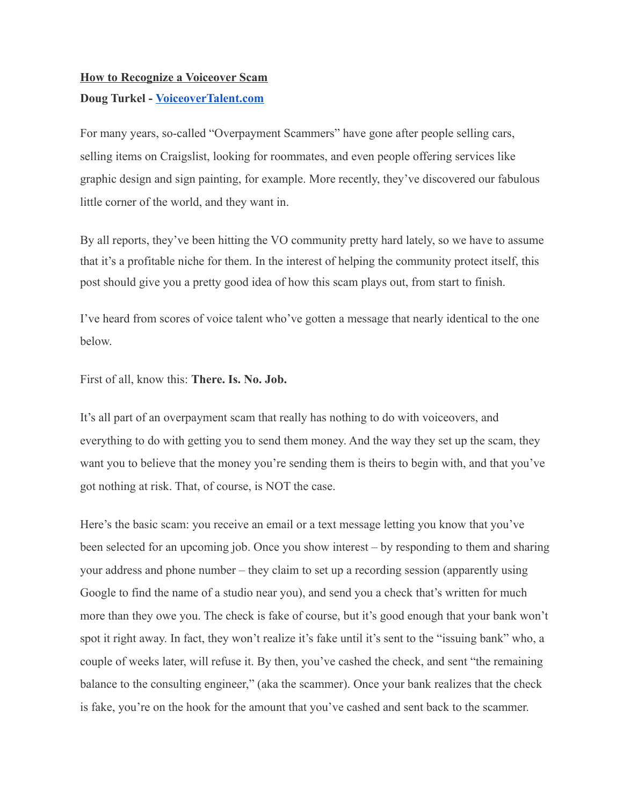# **How to Recognize a Voiceover Scam**

# **Doug Turkel - [VoiceoverTalent.com](http://voiceovertalent.com/)**

For many years, so-called "Overpayment Scammers" have gone after people selling cars, selling items on Craigslist, looking for roommates, and even people offering services like graphic design and sign painting, for example. More recently, they've discovered our fabulous little corner of the world, and they want in.

By all reports, they've been hitting the VO community pretty hard lately, so we have to assume that it's a profitable niche for them. In the interest of helping the community protect itself, this post should give you a pretty good idea of how this scam plays out, from start to finish.

I've heard from scores of voice talent who've gotten a message that nearly identical to the one below.

First of all, know this: **There. Is. No. Job.**

It's all part of an overpayment scam that really has nothing to do with voiceovers, and everything to do with getting you to send them money. And the way they set up the scam, they want you to believe that the money you're sending them is theirs to begin with, and that you've got nothing at risk. That, of course, is NOT the case.

Here's the basic scam: you receive an email or a text message letting you know that you've been selected for an upcoming job. Once you show interest – by responding to them and sharing your address and phone number – they claim to set up a recording session (apparently using Google to find the name of a studio near you), and send you a check that's written for much more than they owe you. The check is fake of course, but it's good enough that your bank won't spot it right away. In fact, they won't realize it's fake until it's sent to the "issuing bank" who, a couple of weeks later, will refuse it. By then, you've cashed the check, and sent "the remaining balance to the consulting engineer," (aka the scammer). Once your bank realizes that the check is fake, you're on the hook for the amount that you've cashed and sent back to the scammer.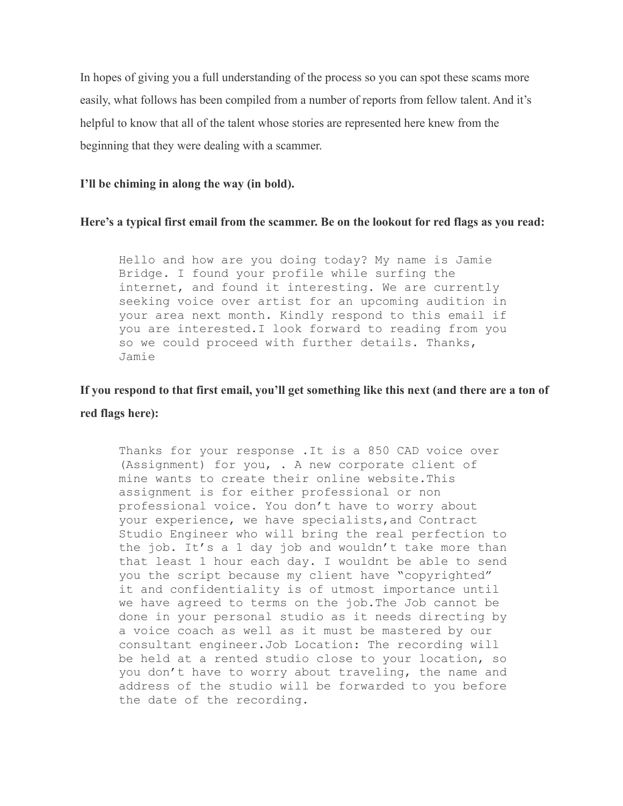In hopes of giving you a full understanding of the process so you can spot these scams more easily, what follows has been compiled from a number of reports from fellow talent. And it's helpful to know that all of the talent whose stories are represented here knew from the beginning that they were dealing with a scammer.

### **I'll be chiming in along the way (in bold).**

### **Here's a typical first email from the scammer. Be on the lookout for red flags as you read:**

Hello and how are you doing today? My name is Jamie Bridge. I found your profile while surfing the internet, and found it interesting. We are currently seeking voice over artist for an upcoming audition in your area next month. Kindly respond to this email if you are interested.I look forward to reading from you so we could proceed with further details. Thanks, Jamie

# **If you respond to that first email, you'll get something like this next (and there are a ton of red flags here):**

Thanks for your response .It is a 850 CAD voice over (Assignment) for you, . A new corporate client of mine wants to create their online website.This assignment is for either professional or non professional voice. You don't have to worry about your experience, we have specialists,and Contract Studio Engineer who will bring the real perfection to the job. It's a 1 day job and wouldn't take more than that least 1 hour each day. I wouldnt be able to send you the script because my client have "copyrighted" it and confidentiality is of utmost importance until we have agreed to terms on the job.The Job cannot be done in your personal studio as it needs directing by a voice coach as well as it must be mastered by our consultant engineer.Job Location: The recording will be held at a rented studio close to your location, so you don't have to worry about traveling, the name and address of the studio will be forwarded to you before the date of the recording.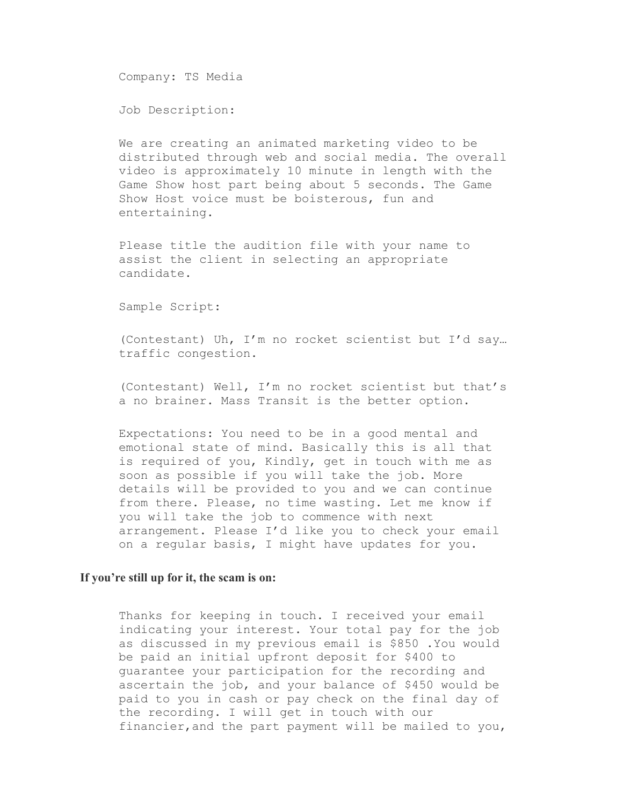Company: TS Media

Job Description:

We are creating an animated marketing video to be distributed through web and social media. The overall video is approximately 10 minute in length with the Game Show host part being about 5 seconds. The Game Show Host voice must be boisterous, fun and entertaining.

Please title the audition file with your name to assist the client in selecting an appropriate candidate.

Sample Script:

(Contestant) Uh, I'm no rocket scientist but I'd say… traffic congestion.

(Contestant) Well, I'm no rocket scientist but that's a no brainer. Mass Transit is the better option.

Expectations: You need to be in a good mental and emotional state of mind. Basically this is all that is required of you, Kindly, get in touch with me as soon as possible if you will take the job. More details will be provided to you and we can continue from there. Please, no time wasting. Let me know if you will take the job to commence with next arrangement. Please I'd like you to check your email on a regular basis, I might have updates for you.

#### **If you're still up for it, the scam is on:**

Thanks for keeping in touch. I received your email indicating your interest. Your total pay for the job as discussed in my previous email is \$850 .You would be paid an initial upfront deposit for \$400 to guarantee your participation for the recording and ascertain the job, and your balance of \$450 would be paid to you in cash or pay check on the final day of the recording. I will get in touch with our financier,and the part payment will be mailed to you,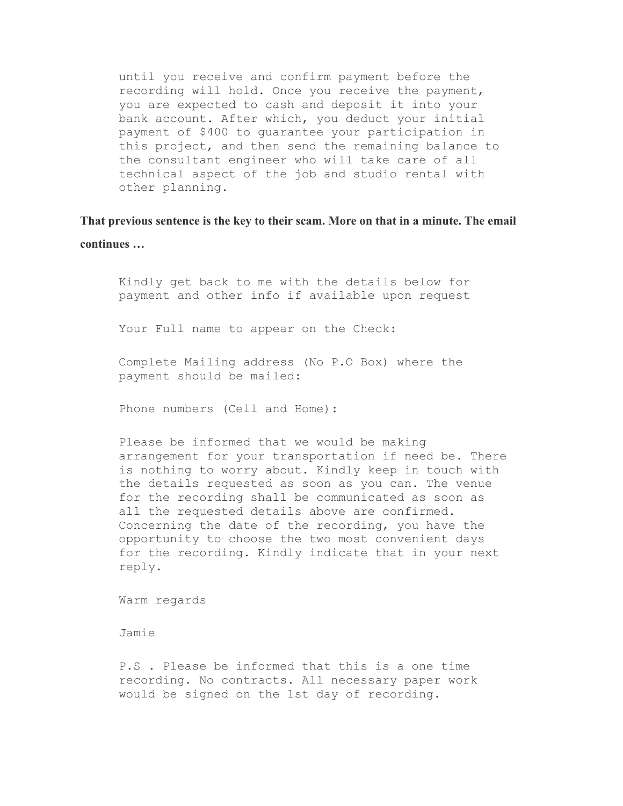until you receive and confirm payment before the recording will hold. Once you receive the payment, you are expected to cash and deposit it into your bank account. After which, you deduct your initial payment of \$400 to guarantee your participation in this project, and then send the remaining balance to the consultant engineer who will take care of all technical aspect of the job and studio rental with other planning.

**That previous sentence is the key to their scam. More on that in a minute. The email continues …**

Kindly get back to me with the details below for payment and other info if available upon request

Your Full name to appear on the Check:

Complete Mailing address (No P.O Box) where the payment should be mailed:

Phone numbers (Cell and Home):

Please be informed that we would be making arrangement for your transportation if need be. There is nothing to worry about. Kindly keep in touch with the details requested as soon as you can. The venue for the recording shall be communicated as soon as all the requested details above are confirmed. Concerning the date of the recording, you have the opportunity to choose the two most convenient days for the recording. Kindly indicate that in your next reply.

Warm regards

Jamie

P.S . Please be informed that this is a one time recording. No contracts. All necessary paper work would be signed on the 1st day of recording.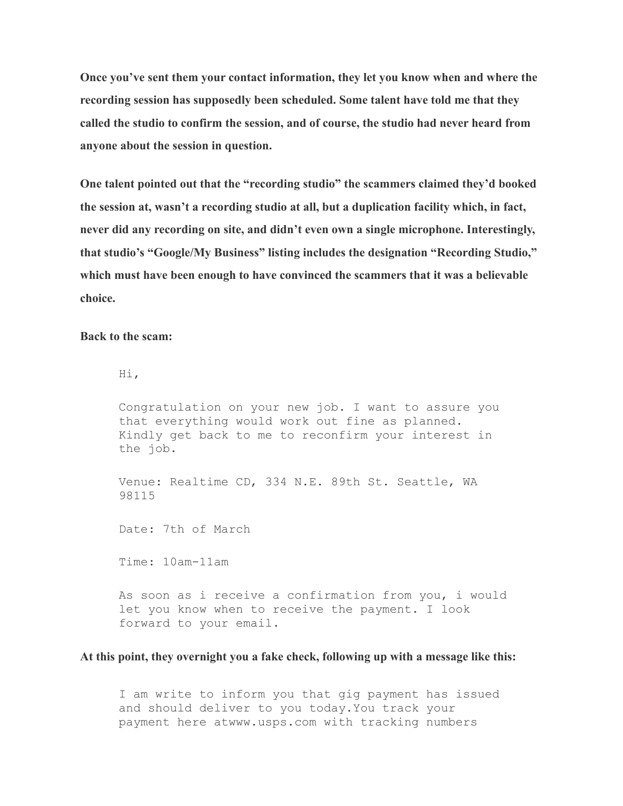**Once you've sent them your contact information, they let you know when and where the recording session has supposedly been scheduled. Some talent have told me that they called the studio to confirm the session, and of course, the studio had never heard from anyone about the session in question.**

**One talent pointed out that the "recording studio" the scammers claimed they'd booked the session at, wasn't a recording studio at all, but a duplication facility which, in fact, never did any recording on site, and didn't even own a single microphone. Interestingly, that studio's "Google/My Business" listing includes the designation "Recording Studio," which must have been enough to have convinced the scammers that it was a believable choice.**

**Back to the scam:**

Hi,

Congratulation on your new job. I want to assure you that everything would work out fine as planned. Kindly get back to me to reconfirm your interest in the job.

Venue: Realtime CD, 334 N.E. 89th St. Seattle, WA 98115

Date: 7th of March

Time: 10am-11am

As soon as i receive a confirmation from you, i would let you know when to receive the payment. I look forward to your email.

### **At this point, they overnight you a fake check, following up with a message like this:**

I am write to inform you that gig payment has issued and should deliver to you today.You track your payment here atwww.usps.com with tracking numbers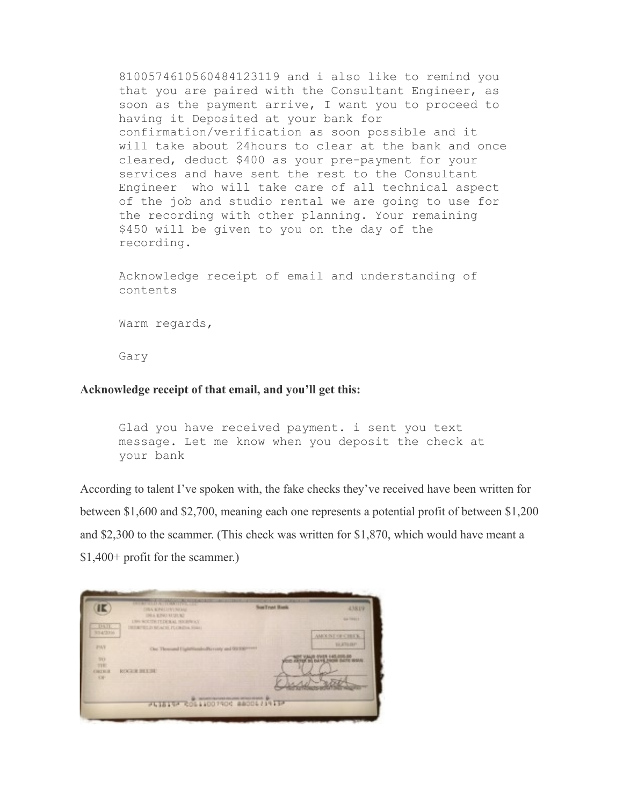8100574610560484123119 and i also like to remind you that you are paired with the Consultant Engineer, as soon as the payment arrive, I want you to proceed to having it Deposited at your bank for confirmation/verification as soon possible and it will take about 24hours to clear at the bank and once cleared, deduct \$400 as your pre-payment for your services and have sent the rest to the Consultant Engineer who will take care of all technical aspect of the job and studio rental we are going to use for the recording with other planning. Your remaining \$450 will be given to you on the day of the recording.

Acknowledge receipt of email and understanding of contents

Warm regards,

Gary

### **Acknowledge receipt of that email, and you'll get this:**

Glad you have received payment. i sent you text message. Let me know when you deposit the check at your bank

According to talent I've spoken with, the fake checks they've received have been written for between \$1,600 and \$2,700, meaning each one represents a potential profit of between \$1,200 and \$2,300 to the scammer. (This check was written for \$1,870, which would have meant a \$1,400+ profit for the scammer.)

| IE                           | <b>THE REAL PROPERTY AND REAL PROPERTY</b><br><b>CIRA KINESYNOME</b>                                            | <b>SunTrust Bank</b> | 4381V                                                    |
|------------------------------|-----------------------------------------------------------------------------------------------------------------|----------------------|----------------------------------------------------------|
| DATE.                        | THE R. P. LEWIS CO., LANSING MICH.<br><b>LING BOLTER FEDERAL HOUSTAY</b><br>INTERFECT IN MUSCUL PLOKENS, FALL 1 |                      | <b>GATINEER</b>                                          |
| 3/14/2016                    |                                                                                                                 |                      | AMOUNT OF CHUCK.                                         |
| <b>PAT</b>                   | One Thomas I light inside Perrory and 03:100 *****                                                              |                      | <b>SEATURE</b>                                           |
| <b>TEE</b>                   |                                                                                                                 |                      | 03-5/65 043 P3V4 B<br>IN ARTIST BO DAYS, FROM DATE WOULD |
| TIBI<br><b>ENTR R</b><br>KW- | <b>ROCKWINTINE</b>                                                                                              |                      |                                                          |
|                              |                                                                                                                 |                      |                                                          |
|                              | PLISING COLLIDOTION ANODERINING                                                                                 |                      |                                                          |
|                              |                                                                                                                 |                      |                                                          |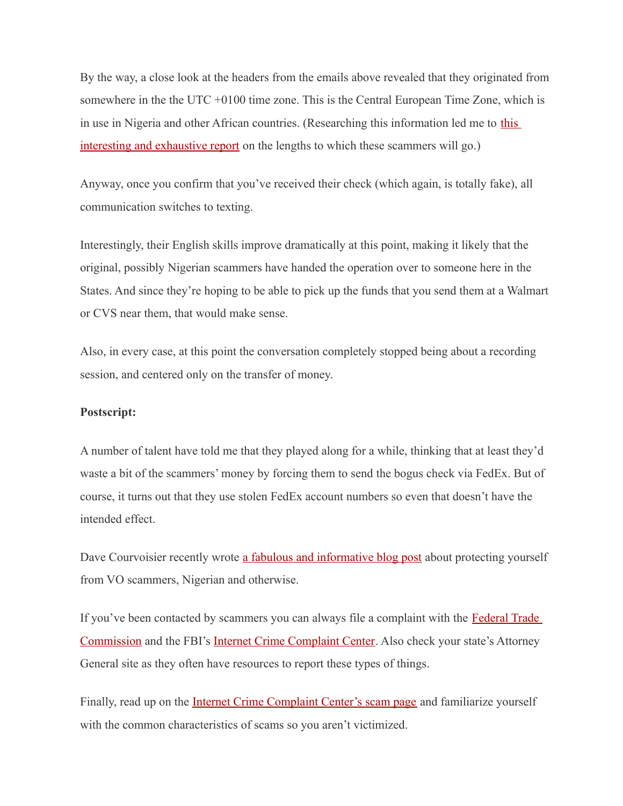By the way, a close look at the headers from the emails above revealed that they originated from somewhere in the the UTC +0100 time zone. This is the Central European Time Zone, which is in use in Nigeria and other African countries. (Researching this information led me to [this](https://zeltser.com/craigslist-paypal-overpayment-scams/) [interesting and exhaustive report](https://zeltser.com/craigslist-paypal-overpayment-scams/) on the lengths to which these scammers will go.)

Anyway, once you confirm that you've received their check (which again, is totally fake), all communication switches to texting.

Interestingly, their English skills improve dramatically at this point, making it likely that the original, possibly Nigerian scammers have handed the operation over to someone here in the States. And since they're hoping to be able to pick up the funds that you send them at a Walmart or CVS near them, that would make sense.

Also, in every case, at this point the conversation completely stopped being about a recording session, and centered only on the transfer of money.

### **Postscript:**

A number of talent have told me that they played along for a while, thinking that at least they'd waste a bit of the scammers' money by forcing them to send the bogus check via FedEx. But of course, it turns out that they use stolen FedEx account numbers so even that doesn't have the intended effect.

Dave Courvoisier recently wrote [a fabulous and informative blog post](http://courvo.com/2016/02/5-ways-to-protect-yourself-from-vo-scammers.html) about protecting yourself from VO scammers, Nigerian and otherwise.

If you've been contacted by scammers you can always file a complaint with the [Federal Trade](https://www.ftccomplaintassistant.gov/) [Commission](https://www.ftccomplaintassistant.gov/) and the FBI's [Internet Crime Complaint Center.](https://www.ic3.gov/complaint/default.aspx) Also check your state's Attorney General site as they often have resources to report these types of things.

Finally, read up on the **Internet Crime Complaint Center's scam page** and familiarize yourself with the common characteristics of scams so you aren't victimized.